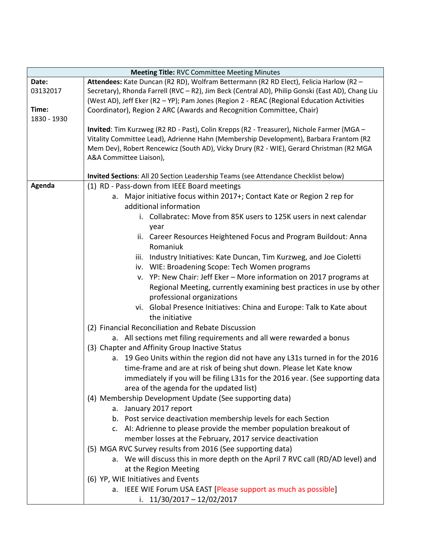| <b>Meeting Title: RVC Committee Meeting Minutes</b> |                                                                                                  |  |
|-----------------------------------------------------|--------------------------------------------------------------------------------------------------|--|
| Date:                                               | Attendees: Kate Duncan (R2 RD), Wolfram Bettermann (R2 RD Elect), Felicia Harlow (R2 -           |  |
| 03132017                                            | Secretary), Rhonda Farrell (RVC - R2), Jim Beck (Central AD), Philip Gonski (East AD), Chang Liu |  |
|                                                     | (West AD), Jeff Eker (R2 - YP); Pam Jones (Region 2 - REAC (Regional Education Activities        |  |
| Time:<br>1830 - 1930                                | Coordinator), Region 2 ARC (Awards and Recognition Committee, Chair)                             |  |
|                                                     | Invited: Tim Kurzweg (R2 RD - Past), Colin Krepps (R2 - Treasurer), Nichole Farmer (MGA -        |  |
|                                                     | Vitality Committee Lead), Adrienne Hahn (Membership Development), Barbara Frantom (R2            |  |
|                                                     | Mem Dev), Robert Rencewicz (South AD), Vicky Drury (R2 - WIE), Gerard Christman (R2 MGA          |  |
|                                                     | A&A Committee Liaison),                                                                          |  |
|                                                     |                                                                                                  |  |
|                                                     | Invited Sections: All 20 Section Leadership Teams (see Attendance Checklist below)               |  |
| Agenda                                              | (1) RD - Pass-down from IEEE Board meetings                                                      |  |
|                                                     | a. Major initiative focus within 2017+; Contact Kate or Region 2 rep for                         |  |
|                                                     | additional information                                                                           |  |
|                                                     | i. Collabratec: Move from 85K users to 125K users in next calendar                               |  |
|                                                     | year                                                                                             |  |
|                                                     | ii. Career Resources Heightened Focus and Program Buildout: Anna                                 |  |
|                                                     | Romaniuk                                                                                         |  |
|                                                     | iii. Industry Initiatives: Kate Duncan, Tim Kurzweg, and Joe Cioletti                            |  |
|                                                     | iv. WIE: Broadening Scope: Tech Women programs                                                   |  |
|                                                     | v. YP: New Chair: Jeff Eker - More information on 2017 programs at                               |  |
|                                                     | Regional Meeting, currently examining best practices in use by other                             |  |
|                                                     | professional organizations                                                                       |  |
|                                                     | vi. Global Presence Initiatives: China and Europe: Talk to Kate about                            |  |
|                                                     | the initiative                                                                                   |  |
|                                                     | (2) Financial Reconciliation and Rebate Discussion                                               |  |
|                                                     | a. All sections met filing requirements and all were rewarded a bonus                            |  |
|                                                     | (3) Chapter and Affinity Group Inactive Status                                                   |  |
|                                                     | a. 19 Geo Units within the region did not have any L31s turned in for the 2016                   |  |
|                                                     | time-frame and are at risk of being shut down. Please let Kate know                              |  |
|                                                     | immediately if you will be filing L31s for the 2016 year. (See supporting data                   |  |
|                                                     | area of the agenda for the updated list)                                                         |  |
|                                                     | (4) Membership Development Update (See supporting data)                                          |  |
|                                                     | a. January 2017 report                                                                           |  |
|                                                     | b. Post service deactivation membership levels for each Section                                  |  |
|                                                     | c. AI: Adrienne to please provide the member population breakout of                              |  |
|                                                     | member losses at the February, 2017 service deactivation                                         |  |
|                                                     | (5) MGA RVC Survey results from 2016 (See supporting data)                                       |  |
|                                                     | a. We will discuss this in more depth on the April 7 RVC call (RD/AD level) and                  |  |
|                                                     | at the Region Meeting                                                                            |  |
|                                                     | (6) YP, WIE Initiatives and Events                                                               |  |
|                                                     | a. IEEE WIE Forum USA EAST [Please support as much as possible]                                  |  |
|                                                     | i. $11/30/2017 - 12/02/2017$                                                                     |  |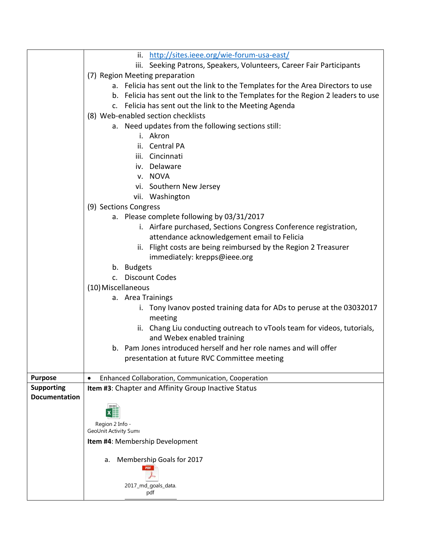|                      | ii. http://sites.ieee.org/wie-forum-usa-east/                                                         |
|----------------------|-------------------------------------------------------------------------------------------------------|
|                      | iii. Seeking Patrons, Speakers, Volunteers, Career Fair Participants                                  |
|                      | (7) Region Meeting preparation                                                                        |
|                      | a. Felicia has sent out the link to the Templates for the Area Directors to use                       |
|                      | b. Felicia has sent out the link to the Templates for the Region 2 leaders to use                     |
|                      | c. Felicia has sent out the link to the Meeting Agenda                                                |
|                      | (8) Web-enabled section checklists                                                                    |
|                      | a. Need updates from the following sections still:                                                    |
|                      | i. Akron                                                                                              |
|                      | ii. Central PA                                                                                        |
|                      | iii. Cincinnati                                                                                       |
|                      | iv. Delaware                                                                                          |
|                      | v. NOVA                                                                                               |
|                      | vi. Southern New Jersey                                                                               |
|                      | vii. Washington                                                                                       |
|                      | (9) Sections Congress                                                                                 |
|                      | a. Please complete following by 03/31/2017                                                            |
|                      | i. Airfare purchased, Sections Congress Conference registration,                                      |
|                      | attendance acknowledgement email to Felicia                                                           |
|                      | ii. Flight costs are being reimbursed by the Region 2 Treasurer                                       |
|                      | immediately: krepps@ieee.org                                                                          |
|                      | b. Budgets                                                                                            |
|                      | c. Discount Codes                                                                                     |
|                      | (10) Miscellaneous                                                                                    |
|                      | a. Area Trainings                                                                                     |
|                      | i. Tony Ivanov posted training data for ADs to peruse at the 03032017                                 |
|                      | meeting                                                                                               |
|                      | ii. Chang Liu conducting outreach to vTools team for videos, tutorials,<br>and Webex enabled training |
|                      | b. Pam Jones introduced herself and her role names and will offer                                     |
|                      | presentation at future RVC Committee meeting                                                          |
|                      |                                                                                                       |
| <b>Purpose</b>       | Enhanced Collaboration, Communication, Cooperation                                                    |
| <b>Supporting</b>    | Item #3: Chapter and Affinity Group Inactive Status                                                   |
| <b>Documentation</b> |                                                                                                       |
|                      |                                                                                                       |
|                      |                                                                                                       |
|                      | Region 2 Info -<br>GeoUnit Activity Sumi                                                              |
|                      | Item #4: Membership Development                                                                       |
|                      |                                                                                                       |
|                      | Membership Goals for 2017<br>a.                                                                       |
|                      |                                                                                                       |
|                      |                                                                                                       |
|                      | 2017_md_goals_data.<br>pdf                                                                            |
|                      |                                                                                                       |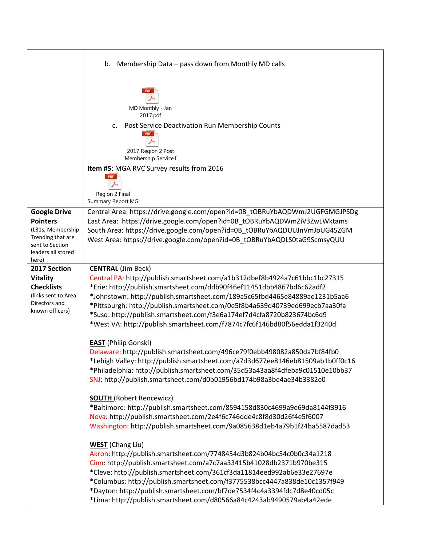|                                                                                                                                    | b.<br>Membership Data - pass down from Monthly MD calls                                                                                                                                                                                                                                                                                                                                                                                                                                            |
|------------------------------------------------------------------------------------------------------------------------------------|----------------------------------------------------------------------------------------------------------------------------------------------------------------------------------------------------------------------------------------------------------------------------------------------------------------------------------------------------------------------------------------------------------------------------------------------------------------------------------------------------|
|                                                                                                                                    | MD Monthly - Jan<br>2017.pdf<br>Post Service Deactivation Run Membership Counts<br>c.<br>PDF<br>2017 Region 2 Post<br>Membership Service I<br>Item #5: MGA RVC Survey results from 2016                                                                                                                                                                                                                                                                                                            |
|                                                                                                                                    | Region 2 Final<br>Summary Report MG,                                                                                                                                                                                                                                                                                                                                                                                                                                                               |
| <b>Google Drive</b><br><b>Pointers</b><br>(L31s, Membership<br>Trending that are<br>sent to Section<br>leaders all stored<br>here) | Central Area: https://drive.google.com/open?id=0B_tOBRuYbAQDWmJ2UGFGMGJPSDg<br>East Area: https://drive.google.com/open?id=0B_tOBRuYbAQDWmZiV3ZwLWktams<br>South Area: https://drive.google.com/open?id=0B_tOBRuYbAQDUUJnVmJoUG45ZGM<br>West Area: https://drive.google.com/open?id=0B_tOBRuYbAQDLS0taG9ScmsyQUU                                                                                                                                                                                   |
| 2017 Section<br><b>Vitality</b><br><b>Checklists</b><br>(links sent to Area<br>Directors and<br>known officers)                    | <b>CENTRAL (Jim Beck)</b><br>Central PA: http://publish.smartsheet.com/a1b312dbef8b4924a7c61bbc1bc27315<br>*Erie: http://publish.smartsheet.com/ddb90f46ef11451dbb4867bd6c62adf2<br>*Johnstown: http://publish.smartsheet.com/189a5c65fbd4465e84889ae1231b5aa6<br>*Pittsburgh: http://publish.smartsheet.com/0e5f8b4a639d40739ed699ecb7aa30fa<br>*Susq: http://publish.smartsheet.com/f3e6a174ef7d4cfa8720b823674bc6d9<br>*West VA: http://publish.smartsheet.com/f7874c7fc6f146bd80f56edda1f3240d |
|                                                                                                                                    | <b>EAST</b> (Philip Gonski)<br>Delaware: http://publish.smartsheet.com/496ce79f0ebb498082a850da7bf84fb0<br>*Lehigh Valley: http://publish.smartsheet.com/a7d3d677ee8146eb81509ab1b0ff0c16<br>*Philadelphia: http://publish.smartsheet.com/35d53a43aa8f4dfeba9c01510e10bb37<br>SNJ: http://publish.smartsheet.com/d0b01956bd174b98a3be4ae34b3382e0                                                                                                                                                  |
|                                                                                                                                    | <b>SOUTH (Robert Rencewicz)</b><br>*Baltimore: http://publish.smartsheet.com/8594158d830c4699a9e69da8144f3916<br>Nova: http://publish.smartsheet.com/2e4f6c746dde4c8f8d30d26f4e5f6007<br>Washington: http://publish.smartsheet.com/9a085638d1eb4a79b1f24ba5587dad53                                                                                                                                                                                                                                |
|                                                                                                                                    | <b>WEST</b> (Chang Liu)<br>Akron: http://publish.smartsheet.com/7748454d3b824b04bc54c0b0c34a1218<br>Cinn: http://publish.smartsheet.com/a7c7aa33415b41028db2371b970be315<br>*Cleve: http://publish.smartsheet.com/361cf3da11814eed992ab6e33e27697e<br>*Columbus: http://publish.smartsheet.com/f3775538bcc4447a838de10c1357f949<br>*Dayton: http://publish.smartsheet.com/bf7de7534f4c4a3394fdc7d8e40cd05c<br>*Lima: http://publish.smartsheet.com/d80566a84c4243ab9490579ab4a42ede                |